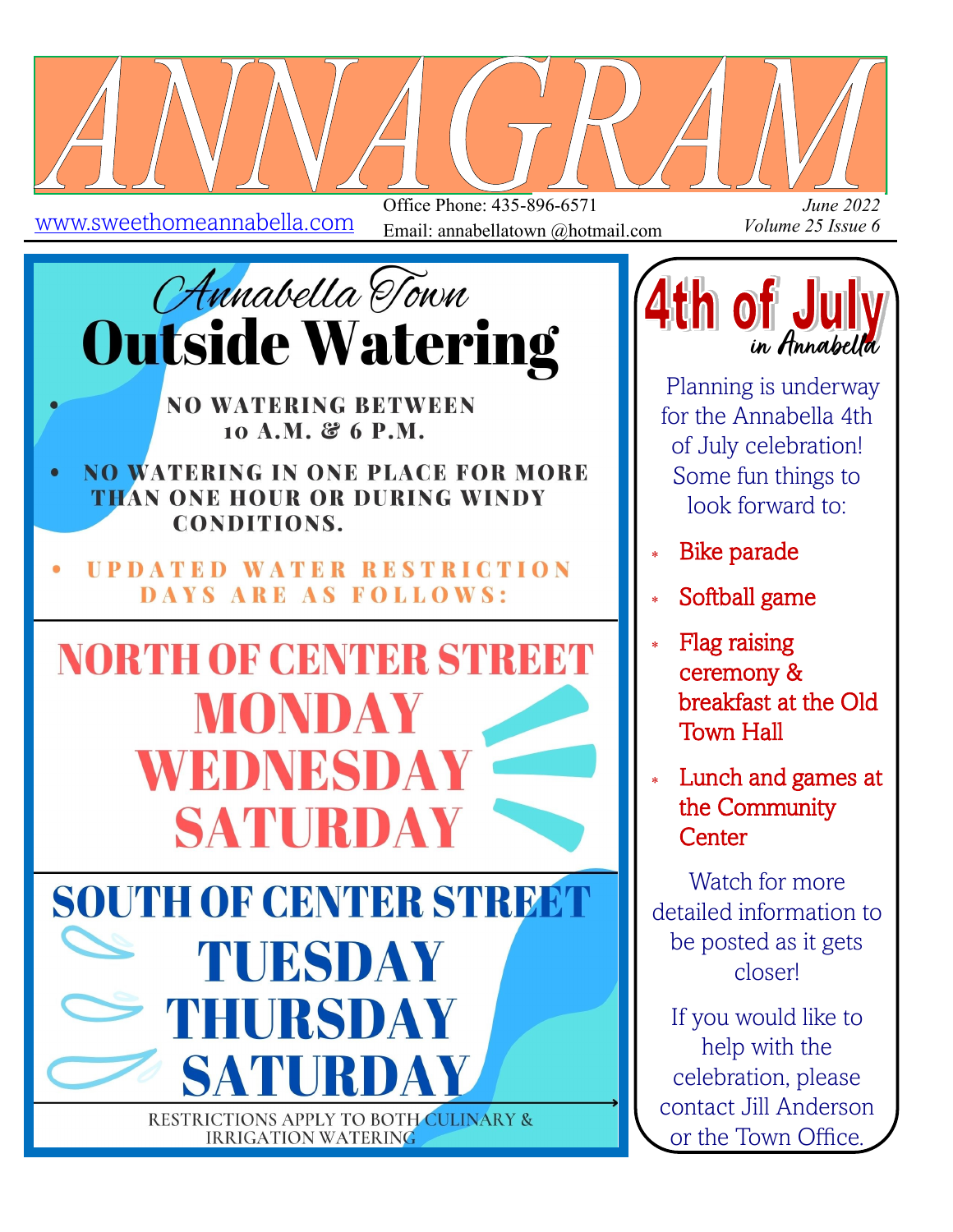